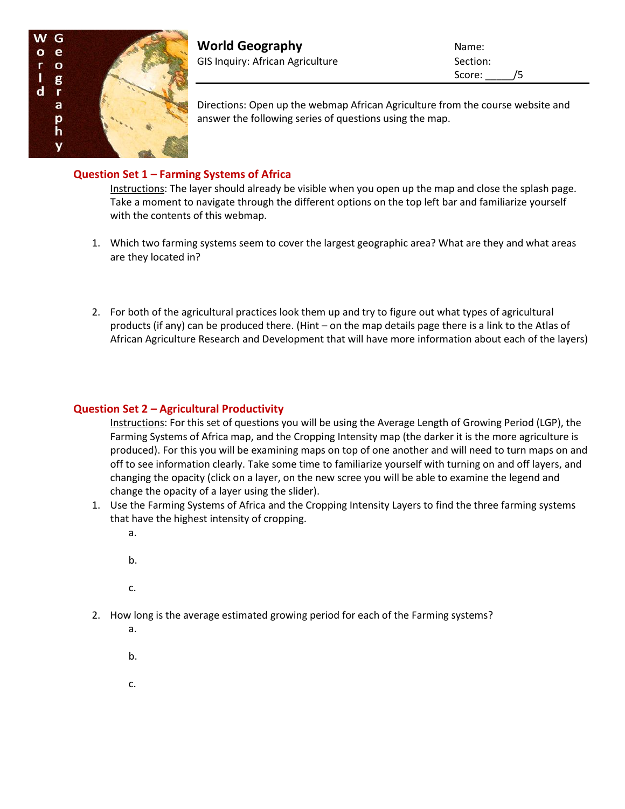

Score: /5

Directions: Open up the webmap African Agriculture from the course website and answer the following series of questions using the map.

# **Question Set 1 – Farming Systems of Africa**

Instructions: The layer should already be visible when you open up the map and close the splash page. Take a moment to navigate through the different options on the top left bar and familiarize yourself with the contents of this webmap.

- 1. Which two farming systems seem to cover the largest geographic area? What are they and what areas are they located in?
- 2. For both of the agricultural practices look them up and try to figure out what types of agricultural products (if any) can be produced there. (Hint – on the map details page there is a link to the Atlas of African Agriculture Research and Development that will have more information about each of the layers)

## **Question Set 2 – Agricultural Productivity**

Instructions: For this set of questions you will be using the Average Length of Growing Period (LGP), the Farming Systems of Africa map, and the Cropping Intensity map (the darker it is the more agriculture is produced). For this you will be examining maps on top of one another and will need to turn maps on and off to see information clearly. Take some time to familiarize yourself with turning on and off layers, and changing the opacity (click on a layer, on the new scree you will be able to examine the legend and change the opacity of a layer using the slider).

- 1. Use the Farming Systems of Africa and the Cropping Intensity Layers to find the three farming systems that have the highest intensity of cropping.
	- a.
	- b.
	- c.
- 2. How long is the average estimated growing period for each of the Farming systems?
	- a.
	- b.
	- c.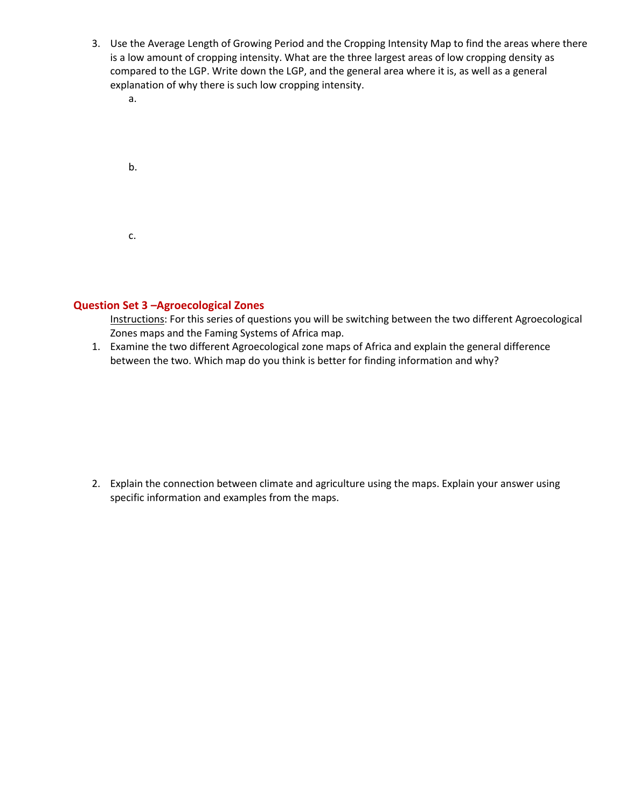- 3. Use the Average Length of Growing Period and the Cropping Intensity Map to find the areas where there is a low amount of cropping intensity. What are the three largest areas of low cropping density as compared to the LGP. Write down the LGP, and the general area where it is, as well as a general explanation of why there is such low cropping intensity.
	- a.

| b. |  |  |  |
|----|--|--|--|
| c. |  |  |  |

### **Question Set 3 –Agroecological Zones**

Instructions: For this series of questions you will be switching between the two different Agroecological Zones maps and the Faming Systems of Africa map.

1. Examine the two different Agroecological zone maps of Africa and explain the general difference between the two. Which map do you think is better for finding information and why?

2. Explain the connection between climate and agriculture using the maps. Explain your answer using specific information and examples from the maps.